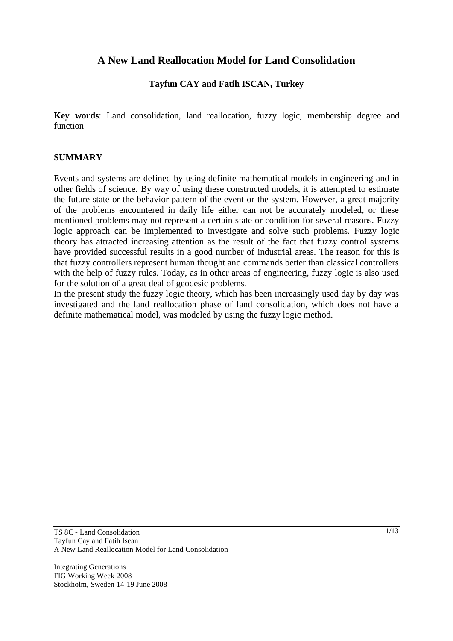# **A New Land Reallocation Model for Land Consolidation**

#### **Tayfun CAY and Fatih ISCAN, Turkey**

**Key words**: Land consolidation, land reallocation, fuzzy logic, membership degree and function

#### **SUMMARY**

Events and systems are defined by using definite mathematical models in engineering and in other fields of science. By way of using these constructed models, it is attempted to estimate the future state or the behavior pattern of the event or the system. However, a great majority of the problems encountered in daily life either can not be accurately modeled, or these mentioned problems may not represent a certain state or condition for several reasons. Fuzzy logic approach can be implemented to investigate and solve such problems. Fuzzy logic theory has attracted increasing attention as the result of the fact that fuzzy control systems have provided successful results in a good number of industrial areas. The reason for this is that fuzzy controllers represent human thought and commands better than classical controllers with the help of fuzzy rules. Today, as in other areas of engineering, fuzzy logic is also used for the solution of a great deal of geodesic problems.

In the present study the fuzzy logic theory, which has been increasingly used day by day was investigated and the land reallocation phase of land consolidation, which does not have a definite mathematical model, was modeled by using the fuzzy logic method.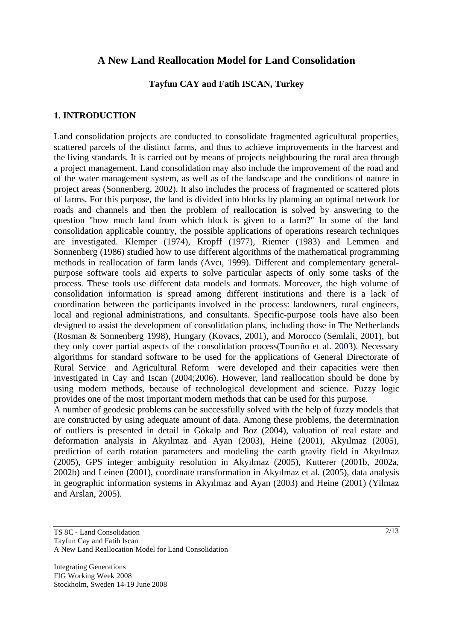# **A New Land Reallocation Model for Land Consolidation**

**Tayfun CAY and Fatih ISCAN, Turkey** 

#### **1. INTRODUCTION**

Land consolidation projects are conducted to consolidate fragmented agricultural properties, scattered parcels of the distinct farms, and thus to achieve improvements in the harvest and the living standards. It is carried out by means of projects neighbouring the rural area through a project management. Land consolidation may also include the improvement of the road and of the water management system, as well as of the landscape and the conditions of nature in project areas (Sonnenberg, 2002). It also includes the process of fragmented or scattered plots of farms. For this purpose, the land is divided into blocks by planning an optimal network for roads and channels and then the problem of reallocation is solved by answering to the question "how much land from which block is given to a farm?" In some of the land consolidation applicable country, the possible applications of operations research techniques are investigated. Klemper (1974), Kropff (1977), Riemer (1983) and Lemmen and Sonnenberg (1986) studied how to use different algorithms of the mathematical programming methods in reallocation of farm lands (Avcı, 1999). Different and complementary generalpurpose software tools aid experts to solve particular aspects of only some tasks of the process. These tools use different data models and formats. Moreover, the high volume of consolidation information is spread among different institutions and there is a lack of coordination between the participants involved in the process: landowners, rural engineers, local and regional administrations, and consultants. Specific-purpose tools have also been designed to assist the development of consolidation plans, including those in The Netherlands (Rosman & Sonnenberg 1998), Hungary (Kovacs, 2001), and Morocco (Semlali, 2001), but they only cover partial aspects of the consolidation process(Tourıño et al. 2003). Necessary algorithms for standard software to be used for the applications of General Directorate of Rural Service and Agricultural Reform were developed and their capacities were then investigated in Cay and Iscan (2004;2006). However, land reallocation should be done by using modern methods, because of technological development and science. Fuzzy logic provides one of the most important modern methods that can be used for this purpose. A number of geodesic problems can be successfully solved with the help of fuzzy models that are constructed by using adequate amount of data. Among these problems, the determination

of outliers is presented in detail in Gökalp and Boz (2004), valuation of real estate and deformation analysis in Akyılmaz and Ayan (2003), Heine (2001), Akyılmaz (2005), prediction of earth rotation parameters and modeling the earth gravity field in Akyılmaz (2005), GPS integer ambiguity resolution in Akyılmaz (2005), Kutterer (2001b, 2002a, 2002b) and Leinen (2001), coordinate transformation in Akyılmaz et al. (2005), data analysis in geographic information systems in Akyılmaz and Ayan (2003) and Heine (2001) (Yilmaz and Arslan, 2005).

TS 8C - Land Consolidation Tayfun Cay and Fatih Iscan A New Land Reallocation Model for Land Consolidation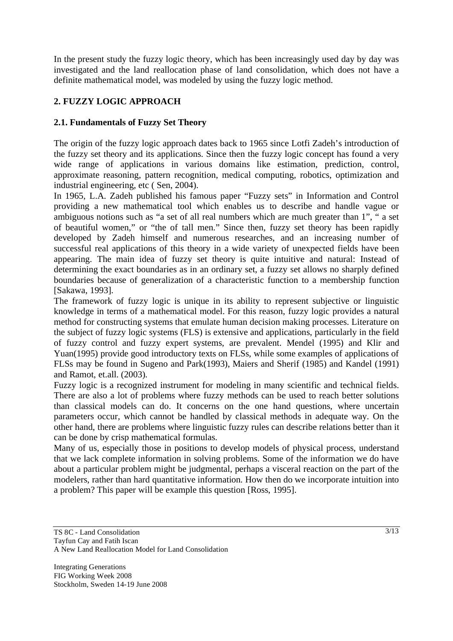In the present study the fuzzy logic theory, which has been increasingly used day by day was investigated and the land reallocation phase of land consolidation, which does not have a definite mathematical model, was modeled by using the fuzzy logic method.

# **2. FUZZY LOGIC APPROACH**

# **2.1. Fundamentals of Fuzzy Set Theory**

The origin of the fuzzy logic approach dates back to 1965 since Lotfi Zadeh's introduction of the fuzzy set theory and its applications. Since then the fuzzy logic concept has found a very wide range of applications in various domains like estimation, prediction, control, approximate reasoning, pattern recognition, medical computing, robotics, optimization and industrial engineering, etc ( Sen, 2004).

In 1965, L.A. Zadeh published his famous paper "Fuzzy sets" in Information and Control providing a new mathematical tool which enables us to describe and handle vague or ambiguous notions such as "a set of all real numbers which are much greater than 1", " a set of beautiful women," or "the of tall men." Since then, fuzzy set theory has been rapidly developed by Zadeh himself and numerous researches, and an increasing number of successful real applications of this theory in a wide variety of unexpected fields have been appearing. The main idea of fuzzy set theory is quite intuitive and natural: Instead of determining the exact boundaries as in an ordinary set, a fuzzy set allows no sharply defined boundaries because of generalization of a characteristic function to a membership function [Sakawa, 1993].

The framework of fuzzy logic is unique in its ability to represent subjective or linguistic knowledge in terms of a mathematical model. For this reason, fuzzy logic provides a natural method for constructing systems that emulate human decision making processes. Literature on the subject of fuzzy logic systems (FLS) is extensive and applications, particularly in the field of fuzzy control and fuzzy expert systems, are prevalent. Mendel (1995) and Klir and Yuan(1995) provide good introductory texts on FLSs, while some examples of applications of FLSs may be found in Sugeno and Park(1993), Maiers and Sherif (1985) and Kandel (1991) and Ramot, et.all. (2003).

Fuzzy logic is a recognized instrument for modeling in many scientific and technical fields. There are also a lot of problems where fuzzy methods can be used to reach better solutions than classical models can do. It concerns on the one hand questions, where uncertain parameters occur, which cannot be handled by classical methods in adequate way. On the other hand, there are problems where linguistic fuzzy rules can describe relations better than it can be done by crisp mathematical formulas.

Many of us, especially those in positions to develop models of physical process, understand that we lack complete information in solving problems. Some of the information we do have about a particular problem might be judgmental, perhaps a visceral reaction on the part of the modelers, rather than hard quantitative information. How then do we incorporate intuition into a problem? This paper will be example this question [Ross, 1995].

TS 8C - Land Consolidation Tayfun Cay and Fatih Iscan A New Land Reallocation Model for Land Consolidation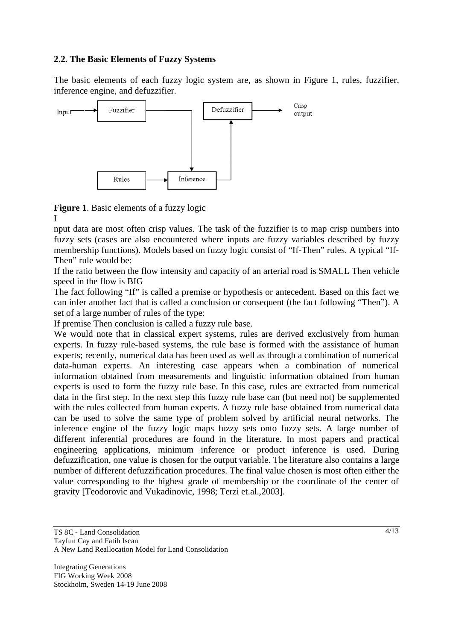#### **2.2. The Basic Elements of Fuzzy Systems**

The basic elements of each fuzzy logic system are, as shown in Figure 1, rules, fuzzifier, inference engine, and defuzzifier.





nput data are most often crisp values. The task of the fuzzifier is to map crisp numbers into fuzzy sets (cases are also encountered where inputs are fuzzy variables described by fuzzy membership functions). Models based on fuzzy logic consist of "If-Then" rules. A typical "If-Then" rule would be:

If the ratio between the flow intensity and capacity of an arterial road is SMALL Then vehicle speed in the flow is BIG

The fact following "If" is called a premise or hypothesis or antecedent. Based on this fact we can infer another fact that is called a conclusion or consequent (the fact following "Then"). A set of a large number of rules of the type:

If premise Then conclusion is called a fuzzy rule base.

We would note that in classical expert systems, rules are derived exclusively from human experts. In fuzzy rule-based systems, the rule base is formed with the assistance of human experts; recently, numerical data has been used as well as through a combination of numerical data-human experts. An interesting case appears when a combination of numerical information obtained from measurements and linguistic information obtained from human experts is used to form the fuzzy rule base. In this case, rules are extracted from numerical data in the first step. In the next step this fuzzy rule base can (but need not) be supplemented with the rules collected from human experts. A fuzzy rule base obtained from numerical data can be used to solve the same type of problem solved by artificial neural networks. The inference engine of the fuzzy logic maps fuzzy sets onto fuzzy sets. A large number of different inferential procedures are found in the literature. In most papers and practical engineering applications, minimum inference or product inference is used. During defuzzification, one value is chosen for the output variable. The literature also contains a large number of different defuzzification procedures. The final value chosen is most often either the value corresponding to the highest grade of membership or the coordinate of the center of gravity [Teodorovic and Vukadinovic, 1998; Terzi et.al.,2003].

TS 8C - Land Consolidation Tayfun Cay and Fatih Iscan A New Land Reallocation Model for Land Consolidation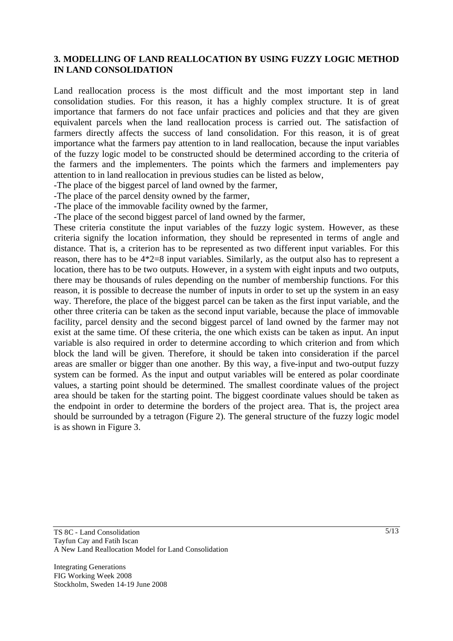#### **3. MODELLING OF LAND REALLOCATION BY USING FUZZY LOGIC METHOD IN LAND CONSOLIDATION**

Land reallocation process is the most difficult and the most important step in land consolidation studies. For this reason, it has a highly complex structure. It is of great importance that farmers do not face unfair practices and policies and that they are given equivalent parcels when the land reallocation process is carried out. The satisfaction of farmers directly affects the success of land consolidation. For this reason, it is of great importance what the farmers pay attention to in land reallocation, because the input variables of the fuzzy logic model to be constructed should be determined according to the criteria of the farmers and the implementers. The points which the farmers and implementers pay attention to in land reallocation in previous studies can be listed as below,

-The place of the biggest parcel of land owned by the farmer,

-The place of the parcel density owned by the farmer,

-The place of the immovable facility owned by the farmer,

-The place of the second biggest parcel of land owned by the farmer,

These criteria constitute the input variables of the fuzzy logic system. However, as these criteria signify the location information, they should be represented in terms of angle and distance. That is, a criterion has to be represented as two different input variables. For this reason, there has to be 4\*2=8 input variables. Similarly, as the output also has to represent a location, there has to be two outputs. However, in a system with eight inputs and two outputs, there may be thousands of rules depending on the number of membership functions. For this reason, it is possible to decrease the number of inputs in order to set up the system in an easy way. Therefore, the place of the biggest parcel can be taken as the first input variable, and the other three criteria can be taken as the second input variable, because the place of immovable facility, parcel density and the second biggest parcel of land owned by the farmer may not exist at the same time. Of these criteria, the one which exists can be taken as input. An input variable is also required in order to determine according to which criterion and from which block the land will be given. Therefore, it should be taken into consideration if the parcel areas are smaller or bigger than one another. By this way, a five-input and two-output fuzzy system can be formed. As the input and output variables will be entered as polar coordinate values, a starting point should be determined. The smallest coordinate values of the project area should be taken for the starting point. The biggest coordinate values should be taken as the endpoint in order to determine the borders of the project area. That is, the project area should be surrounded by a tetragon (Figure 2). The general structure of the fuzzy logic model is as shown in Figure 3.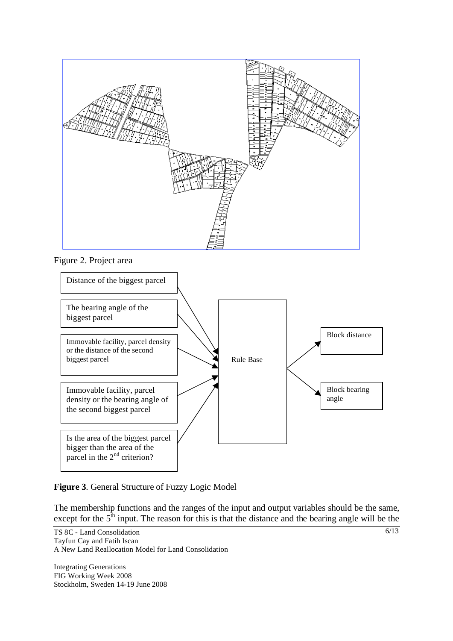





# **Figure 3**. General Structure of Fuzzy Logic Model

The membership functions and the ranges of the input and output variables should be the same, except for the  $5<sup>th</sup>$  input. The reason for this is that the distance and the bearing angle will be the

TS 8C - Land Consolidation Tayfun Cay and Fatih Iscan A New Land Reallocation Model for Land Consolidation

Integrating Generations FIG Working Week 2008 Stockholm, Sweden 14-19 June 2008 6/13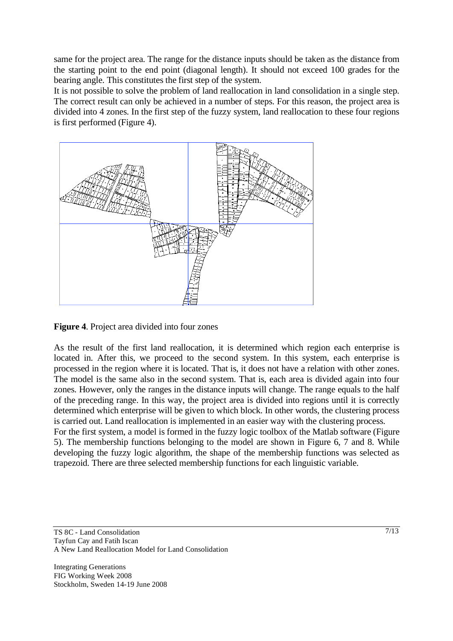same for the project area. The range for the distance inputs should be taken as the distance from the starting point to the end point (diagonal length). It should not exceed 100 grades for the bearing angle. This constitutes the first step of the system.

It is not possible to solve the problem of land reallocation in land consolidation in a single step. The correct result can only be achieved in a number of steps. For this reason, the project area is divided into 4 zones. In the first step of the fuzzy system, land reallocation to these four regions is first performed (Figure 4).



**Figure 4**. Project area divided into four zones

As the result of the first land reallocation, it is determined which region each enterprise is located in. After this, we proceed to the second system. In this system, each enterprise is processed in the region where it is located. That is, it does not have a relation with other zones. The model is the same also in the second system. That is, each area is divided again into four zones. However, only the ranges in the distance inputs will change. The range equals to the half of the preceding range. In this way, the project area is divided into regions until it is correctly determined which enterprise will be given to which block. In other words, the clustering process is carried out. Land reallocation is implemented in an easier way with the clustering process.

For the first system, a model is formed in the fuzzy logic toolbox of the Matlab software (Figure 5). The membership functions belonging to the model are shown in Figure 6, 7 and 8. While developing the fuzzy logic algorithm, the shape of the membership functions was selected as trapezoid. There are three selected membership functions for each linguistic variable.

TS 8C - Land Consolidation Tayfun Cay and Fatih Iscan A New Land Reallocation Model for Land Consolidation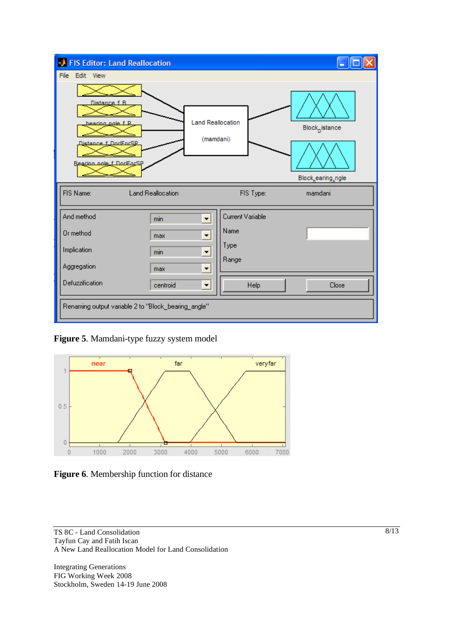| FIS Editor: Land Reallocation                                                                                                                                                                                                         |                                                     |                                                                   |         |  |  |  |  |
|---------------------------------------------------------------------------------------------------------------------------------------------------------------------------------------------------------------------------------------|-----------------------------------------------------|-------------------------------------------------------------------|---------|--|--|--|--|
| Edit View<br>File<br>Distance f B<br><b>Land Reallocation</b><br>hearing note f P<br><b>Block</b> <sub>n</sub> istance<br>(mamdani)<br>Distance f_DorlEorSP<br>Bearing note f DodEorSP<br>Block <sub>h</sub> earing <sub>s</sub> ngle |                                                     |                                                                   |         |  |  |  |  |
| FIS Name:                                                                                                                                                                                                                             | <b>Land Reallocation</b>                            | FIS Type:                                                         | mamdani |  |  |  |  |
| And method<br>Or method                                                                                                                                                                                                               | min<br>max                                          | Current Variable<br>▾<br>Name<br>$\vert \cdot \vert$              |         |  |  |  |  |
| Implication<br>Aggregation                                                                                                                                                                                                            | min<br>max                                          | Type<br>$\overline{\phantom{a}}$<br>Range<br>$\blacktriangledown$ |         |  |  |  |  |
| Defuzzification                                                                                                                                                                                                                       | centroid                                            | ▾<br>Help                                                         | Close   |  |  |  |  |
|                                                                                                                                                                                                                                       | Renaming output variable 2 to "Block_bearing_angle" |                                                                   |         |  |  |  |  |

**Figure 5**. Mamdani-type fuzzy system model



**Figure 6**. Membership function for distance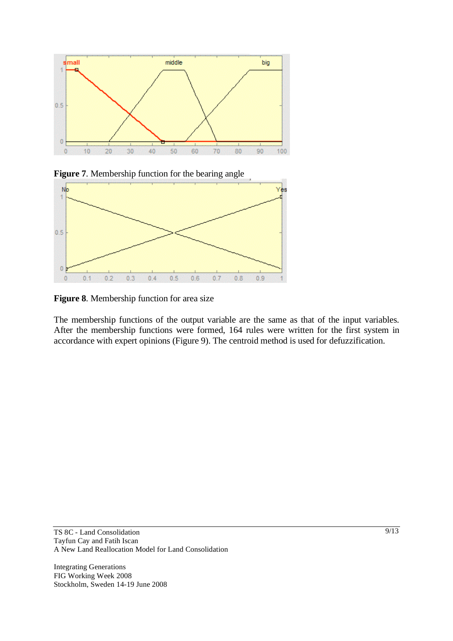





**Figure 8**. Membership function for area size

The membership functions of the output variable are the same as that of the input variables. After the membership functions were formed, 164 rules were written for the first system in accordance with expert opinions (Figure 9). The centroid method is used for defuzzification.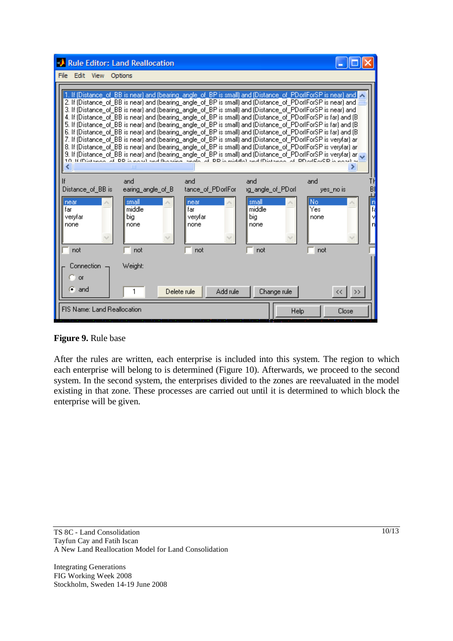| Rule Editor: Land Reallocation                             |                                                                                                                                                                                                                                                                                                                                                                                                                                                                                                                                                                                                                                                                                                                                                                                                                                                                                                                                                                                                                                                                                                                                                                  |                                                                   |                                                                    |                                  |                     |  |  |
|------------------------------------------------------------|------------------------------------------------------------------------------------------------------------------------------------------------------------------------------------------------------------------------------------------------------------------------------------------------------------------------------------------------------------------------------------------------------------------------------------------------------------------------------------------------------------------------------------------------------------------------------------------------------------------------------------------------------------------------------------------------------------------------------------------------------------------------------------------------------------------------------------------------------------------------------------------------------------------------------------------------------------------------------------------------------------------------------------------------------------------------------------------------------------------------------------------------------------------|-------------------------------------------------------------------|--------------------------------------------------------------------|----------------------------------|---------------------|--|--|
| File Edit View Options                                     |                                                                                                                                                                                                                                                                                                                                                                                                                                                                                                                                                                                                                                                                                                                                                                                                                                                                                                                                                                                                                                                                                                                                                                  |                                                                   |                                                                    |                                  |                     |  |  |
|                                                            | 1. If (Distance_of_BB is near) and (bearing_angle_of_BP is small) and (Distance_of_PDorlForSP is near) and<br>2. If (Distance_of_BB is near) and (bearing_angle_of_BP is small) and (Distance_of_PDorlForSP is near) and<br>3. If (Distance_of_BB is near) and (bearing_angle_of_BP is small) and (Distance_of_PDorlForSP is near) and<br>4. If (Distance_of_BB is near) and (bearing_angle_of_BP is small) and (Distance_of_PDorlForSP is far) and (B<br>5. If (Distance_of_BB is near) and (bearing_angle_of_BP is small) and (Distance_of_PDorlForSP is far) and (B<br>6. If (Distance_of_BB is near) and (bearing_angle_of_BP is small) and (Distance_of_PDorlForSP is far) and (B<br>7. If (Distance_of_BB is near) and (bearing_angle_of_BP is small) and (Distance_of_PDorlForSP is veryfar) arl<br>8. If (Distance_of_BB is near) and (bearing_angle_of_BP is small) and (Distance_of_PDorlForSP is veryfar) arl<br>9. If (Distance_of_BB is near) and (bearing_angle_of_BP is small) and (Distance_of_PDorlForSP is veryfar) ar w<br>10. If (Distance of DD is no at and tho sting angle of DD is middle) and (Distance of DD of English is a 1 at<br>Ш |                                                                   |                                                                    |                                  |                     |  |  |
| Distance of BB is<br>near<br>far<br>veryfar<br>none<br>not | and<br>earing angle of B<br>small<br>middle<br>big<br>none<br>not                                                                                                                                                                                                                                                                                                                                                                                                                                                                                                                                                                                                                                                                                                                                                                                                                                                                                                                                                                                                                                                                                                | and<br>tance_of_PDorlFor<br>near<br>far<br>veryfar<br>none<br>not | and<br>ig angle of PD orl<br>small<br>middle<br>big<br>none<br>not | and<br>No.<br>Yes<br>none<br>not | yes no is           |  |  |
| Connection<br><b>OF</b><br>$\bullet$ and                   | Weight:<br>1                                                                                                                                                                                                                                                                                                                                                                                                                                                                                                                                                                                                                                                                                                                                                                                                                                                                                                                                                                                                                                                                                                                                                     | Delete rule<br>Add rule                                           | Change rule                                                        |                                  | $\rightarrow$<br><< |  |  |
| <b>FIS Name: Land Reallocation</b>                         |                                                                                                                                                                                                                                                                                                                                                                                                                                                                                                                                                                                                                                                                                                                                                                                                                                                                                                                                                                                                                                                                                                                                                                  |                                                                   |                                                                    | Help                             | Close               |  |  |

# **Figure 9.** Rule base

After the rules are written, each enterprise is included into this system. The region to which each enterprise will belong to is determined (Figure 10). Afterwards, we proceed to the second system. In the second system, the enterprises divided to the zones are reevaluated in the model existing in that zone. These processes are carried out until it is determined to which block the enterprise will be given.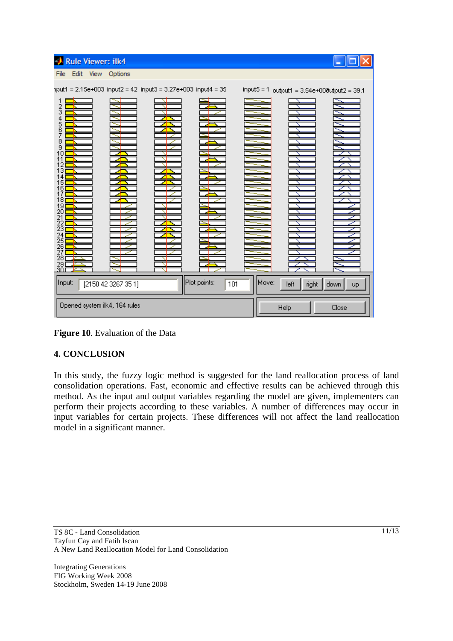| <b>Rule Viewer: ilk4</b><br>IJ                                                                                                                                     |                     |                     |       |               |                                             |
|--------------------------------------------------------------------------------------------------------------------------------------------------------------------|---------------------|---------------------|-------|---------------|---------------------------------------------|
| Edit View<br>File                                                                                                                                                  | Options             |                     |       |               |                                             |
| nput1 = 2.15e+003 input2 = 42 input3 = 3.27e+003 input4 = 35<br>1<br>$\frac{2}{3}$<br>456789<br>10<br>11<br>12<br>13<br>14<br>15<br>16<br>17<br>18<br>19<br>201223 |                     |                     |       |               | input5 = 1 output1 = 3.54e+008utput2 = 39.1 |
| 2425252728<br>$\frac{29}{30}$<br>Input:                                                                                                                            | [2150 42 3267 35 1] | Plot points:<br>101 | Move: | right<br>left | down<br>up                                  |
| Opened system ilk4, 164 rules                                                                                                                                      |                     |                     | Help  |               | Close                                       |

**Figure 10**. Evaluation of the Data

# **4. CONCLUSION**

In this study, the fuzzy logic method is suggested for the land reallocation process of land consolidation operations. Fast, economic and effective results can be achieved through this method. As the input and output variables regarding the model are given, implementers can perform their projects according to these variables. A number of differences may occur in input variables for certain projects. These differences will not affect the land reallocation model in a significant manner.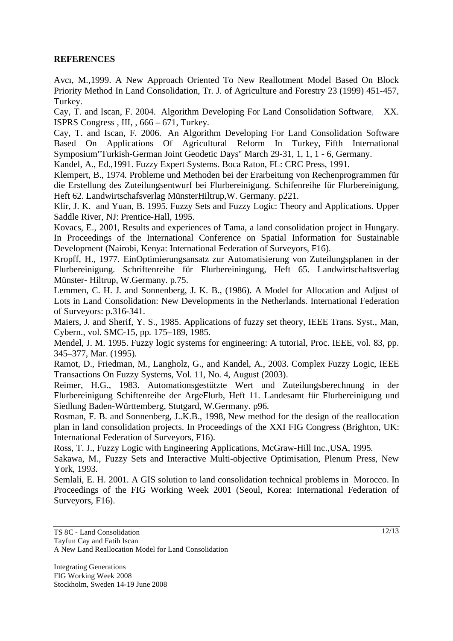#### **REFERENCES**

Avcı, M.,1999. A New Approach Oriented To New Reallotment Model Based On Block Priority Method In Land Consolidation, Tr. J. of Agriculture and Forestry 23 (1999) 451-457, Turkey.

Cay, T. and Iscan, F. 2004. Algorithm Developing For Land Consolidation Software, XX. ISPRS Congress , III, , 666 – 671, Turkey.

Cay, T. and Iscan, F. 2006. An Algorithm Developing For Land Consolidation Software Based On Applications Of Agricultural Reform In Turkey, Fifth International Symposium"Turkish-German Joint Geodetic Days" March 29-31, 1, 1, 1 - 6, Germany.

Kandel, A., Ed.,1991. Fuzzy Expert Systems. Boca Raton, FL: CRC Press, 1991.

Klempert, B., 1974. Probleme und Methoden bei der Erarbeitung von Rechenprogrammen für die Erstellung des Zuteilungsentwurf bei Flurbereinigung. Schifenreihe für Flurbereinigung, Heft 62. Landwirtschafsverlag MünsterHiltrup,W. Germany. p221.

Klir, J. K. and Yuan, B. 1995. Fuzzy Sets and Fuzzy Logic: Theory and Applications. Upper Saddle River, NJ: Prentice-Hall, 1995.

Kovacs, E., 2001, Results and experiences of Tama, a land consolidation project in Hungary. In Proceedings of the International Conference on Spatial Information for Sustainable Development (Nairobi, Kenya: International Federation of Surveyors, F16).

Kropff, H., 1977. EinOptimierungsansatz zur Automatisierung von Zuteilungsplanen in der Flurbereinigung. Schriftenreihe für Flurbereiningung, Heft 65. Landwirtschaftsverlag Münster- Hiltrup, W.Germany. p.75.

Lemmen, C. H. J. and Sonnenberg, J. K. B., (1986). A Model for Allocation and Adjust of Lots in Land Consolidation: New Developments in the Netherlands. International Federation of Surveyors: p.316-341.

Maiers, J. and Sherif, Y. S., 1985. Applications of fuzzy set theory, IEEE Trans. Syst., Man, Cybern., vol. SMC-15, pp. 175–189, 1985.

Mendel, J. M. 1995. Fuzzy logic systems for engineering: A tutorial, Proc. IEEE, vol. 83, pp. 345–377, Mar. (1995).

Ramot, D., Friedman, M., Langholz, G., and Kandel, A., 2003. Complex Fuzzy Logic, IEEE Transactions On Fuzzy Systems, Vol. 11, No. 4, August (2003).

Reimer, H.G., 1983. Automationsgestützte Wert und Zuteilungsberechnung in der Flurbereinigung Schiftenreihe der ArgeFlurb, Heft 11. Landesamt für Flurbereinigung und Siedlung Baden-Württemberg, Stutgard, W.Germany. p96.

Rosman, F. B. and Sonnenberg, J..K.B., 1998, New method for the design of the reallocation plan in land consolidation projects. In Proceedings of the XXI FIG Congress (Brighton, UK: International Federation of Surveyors, F16).

Ross, T. J., Fuzzy Logic with Engineering Applications, McGraw-Hill Inc.,USA, 1995.

Sakawa, M., Fuzzy Sets and Interactive Multi-objective Optimisation, Plenum Press, New York, 1993.

Semlali, E. H. 2001. A GIS solution to land consolidation technical problems in Morocco. In Proceedings of the FIG Working Week 2001 (Seoul, Korea: International Federation of Surveyors, F16).

TS 8C - Land Consolidation Tayfun Cay and Fatih Iscan

A New Land Reallocation Model for Land Consolidation